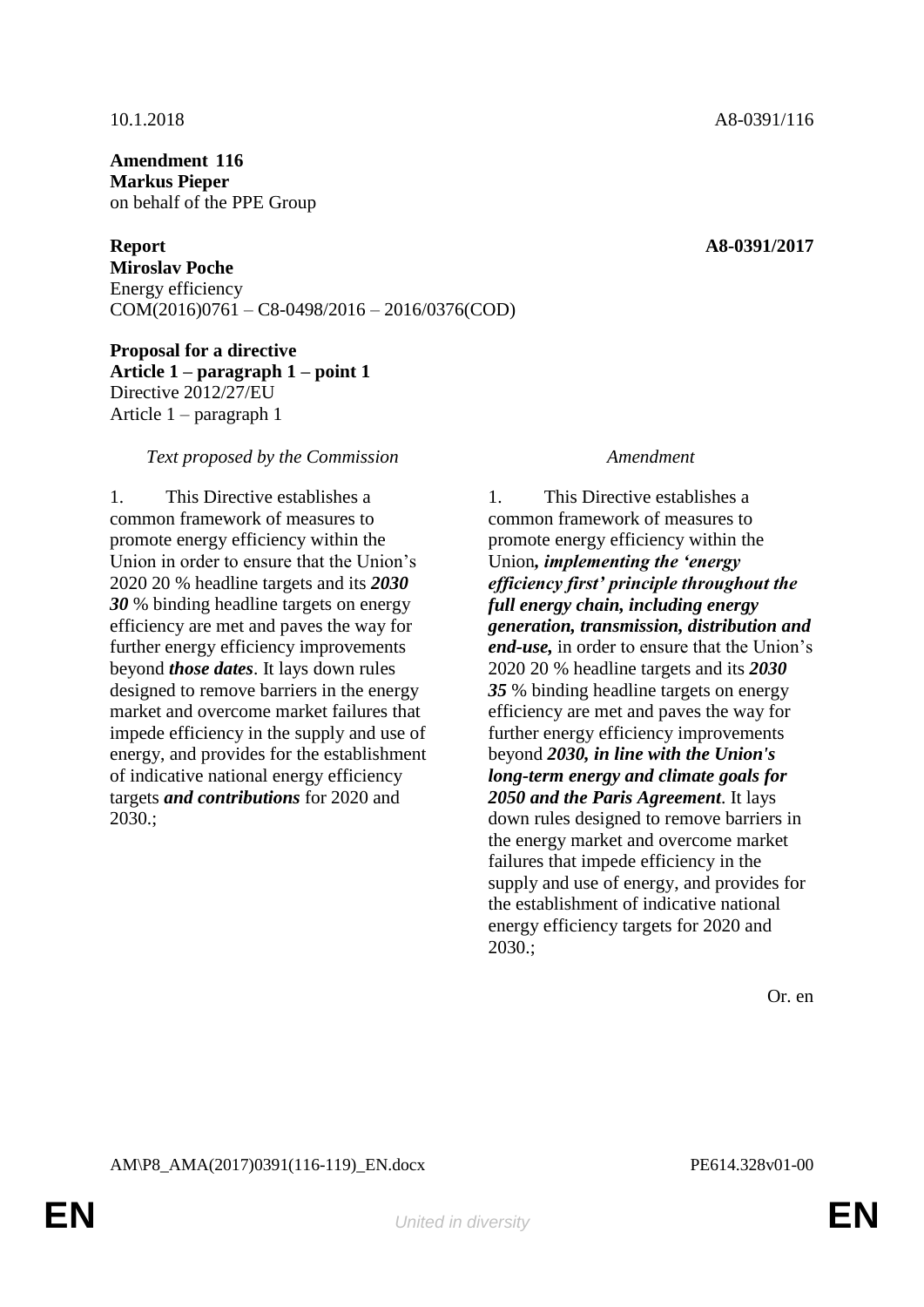**Amendment 116 Markus Pieper** on behalf of the PPE Group

**Report A8-0391/2017 Miroslav Poche** Energy efficiency COM(2016)0761 – C8-0498/2016 – 2016/0376(COD)

**Proposal for a directive Article 1 – paragraph 1 – point 1** Directive 2012/27/EU Article 1 – paragraph 1

### *Text proposed by the Commission Amendment*

1. This Directive establishes a common framework of measures to promote energy efficiency within the Union in order to ensure that the Union's 2020 20 % headline targets and its *2030 30* % binding headline targets on energy efficiency are met and paves the way for further energy efficiency improvements beyond *those dates*. It lays down rules designed to remove barriers in the energy market and overcome market failures that impede efficiency in the supply and use of energy, and provides for the establishment of indicative national energy efficiency targets *and contributions* for 2020 and 2030.;

1. This Directive establishes a common framework of measures to promote energy efficiency within the Union*, implementing the 'energy efficiency first' principle throughout the full energy chain, including energy generation, transmission, distribution and end-use,* in order to ensure that the Union's 2020 20 % headline targets and its *2030 35* % binding headline targets on energy efficiency are met and paves the way for further energy efficiency improvements beyond *2030, in line with the Union's long-term energy and climate goals for 2050 and the Paris Agreement*. It lays down rules designed to remove barriers in the energy market and overcome market failures that impede efficiency in the supply and use of energy, and provides for the establishment of indicative national energy efficiency targets for 2020 and 2030.;

Or. en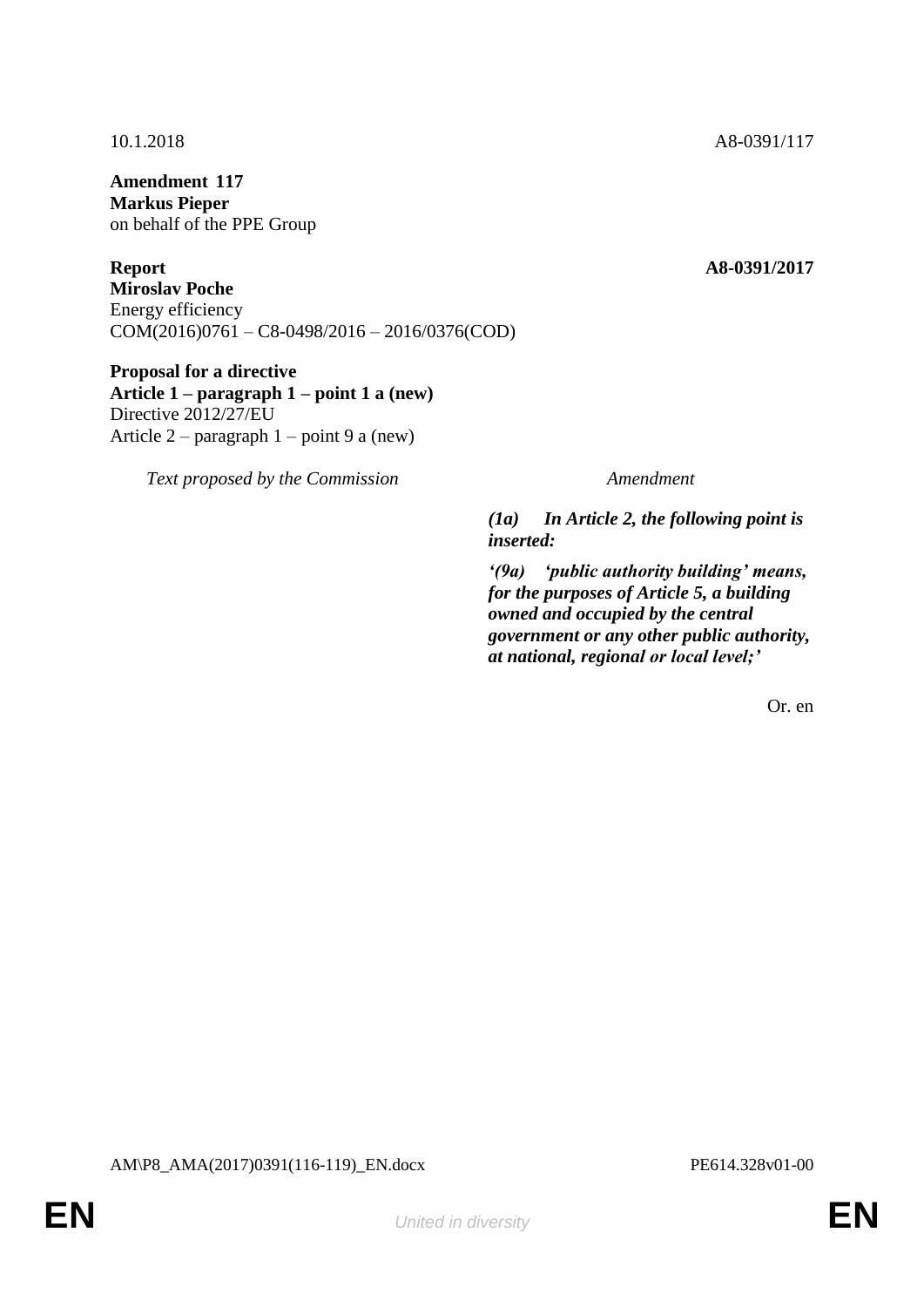**Amendment 117 Markus Pieper** on behalf of the PPE Group

**Report A8-0391/2017 Miroslav Poche** Energy efficiency COM(2016)0761 – C8-0498/2016 – 2016/0376(COD)

**Proposal for a directive Article 1 – paragraph 1 – point 1 a (new)** Directive 2012/27/EU Article 2 – paragraph 1 – point 9 a (new)

*Text proposed by the Commission Amendment*

*(1a) In Article 2, the following point is inserted:*

*'(9a) 'public authority building' means, for the purposes of Article 5, a building owned and occupied by the central government or any other public authority, at national, regional or local level;'*

Or. en

10.1.2018 A8-0391/117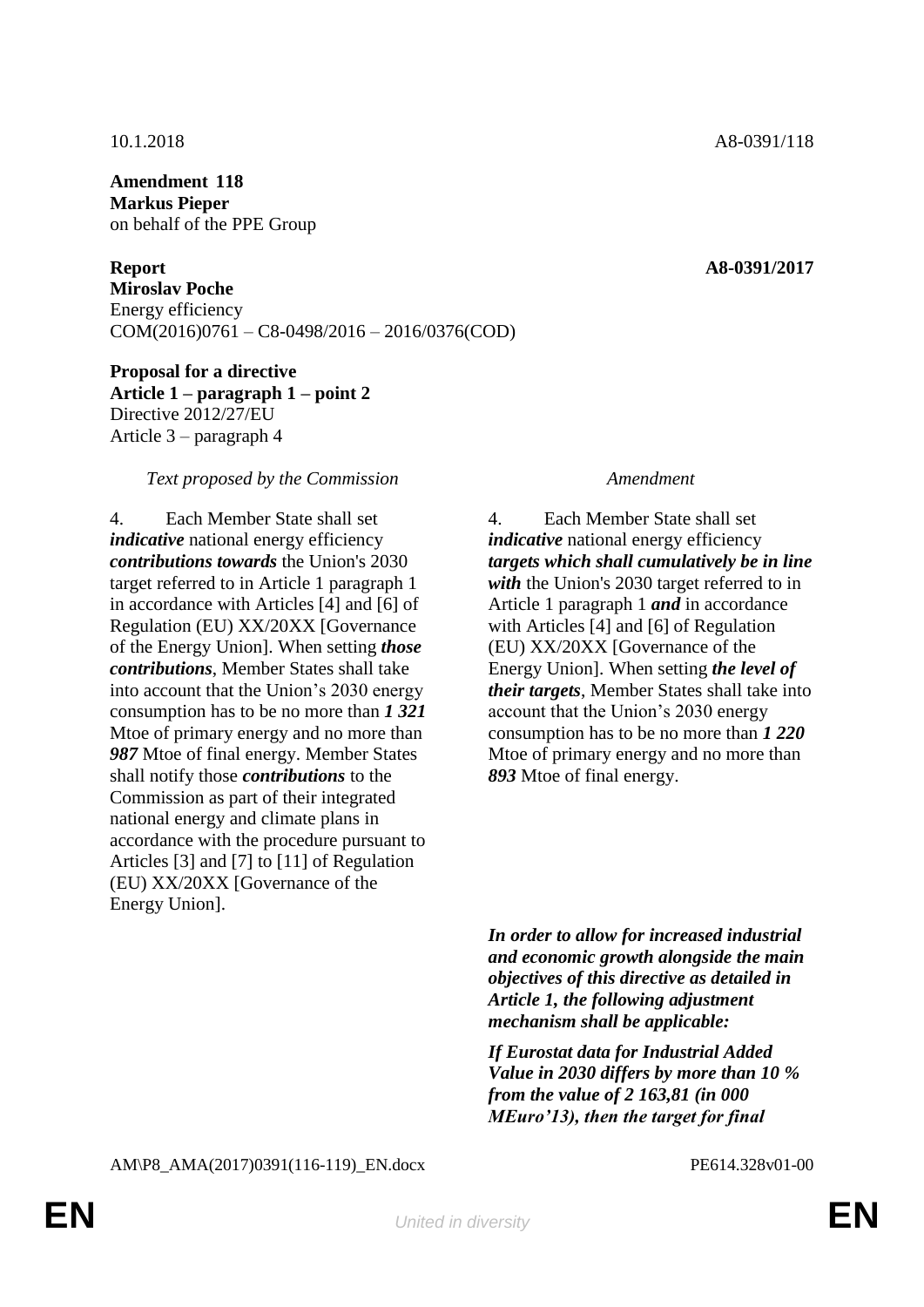**Amendment 118 Markus Pieper** on behalf of the PPE Group

**Report A8-0391/2017 Miroslav Poche** Energy efficiency COM(2016)0761 – C8-0498/2016 – 2016/0376(COD)

**Proposal for a directive Article 1 – paragraph 1 – point 2** Directive 2012/27/EU Article 3 – paragraph 4

### *Text proposed by the Commission Amendment*

4. Each Member State shall set *indicative* national energy efficiency *contributions towards* the Union's 2030 target referred to in Article 1 paragraph 1 in accordance with Articles [4] and [6] of Regulation (EU) XX/20XX [Governance of the Energy Union]. When setting *those contributions*, Member States shall take into account that the Union's 2030 energy consumption has to be no more than *1 321* Mtoe of primary energy and no more than *987* Mtoe of final energy. Member States shall notify those *contributions* to the Commission as part of their integrated national energy and climate plans in accordance with the procedure pursuant to Articles [3] and [7] to [11] of Regulation (EU) XX/20XX [Governance of the Energy Union].

4. Each Member State shall set *indicative* national energy efficiency *targets which shall cumulatively be in line with* the Union's 2030 target referred to in Article 1 paragraph 1 *and* in accordance with Articles [4] and [6] of Regulation (EU) XX/20XX [Governance of the Energy Union]. When setting *the level of their targets*, Member States shall take into account that the Union's 2030 energy consumption has to be no more than *1 220* Mtoe of primary energy and no more than *893* Mtoe of final energy.

*In order to allow for increased industrial and economic growth alongside the main objectives of this directive as detailed in Article 1, the following adjustment mechanism shall be applicable:*

*If Eurostat data for Industrial Added Value in 2030 differs by more than 10 % from the value of 2 163,81 (in 000 MEuro'13), then the target for final*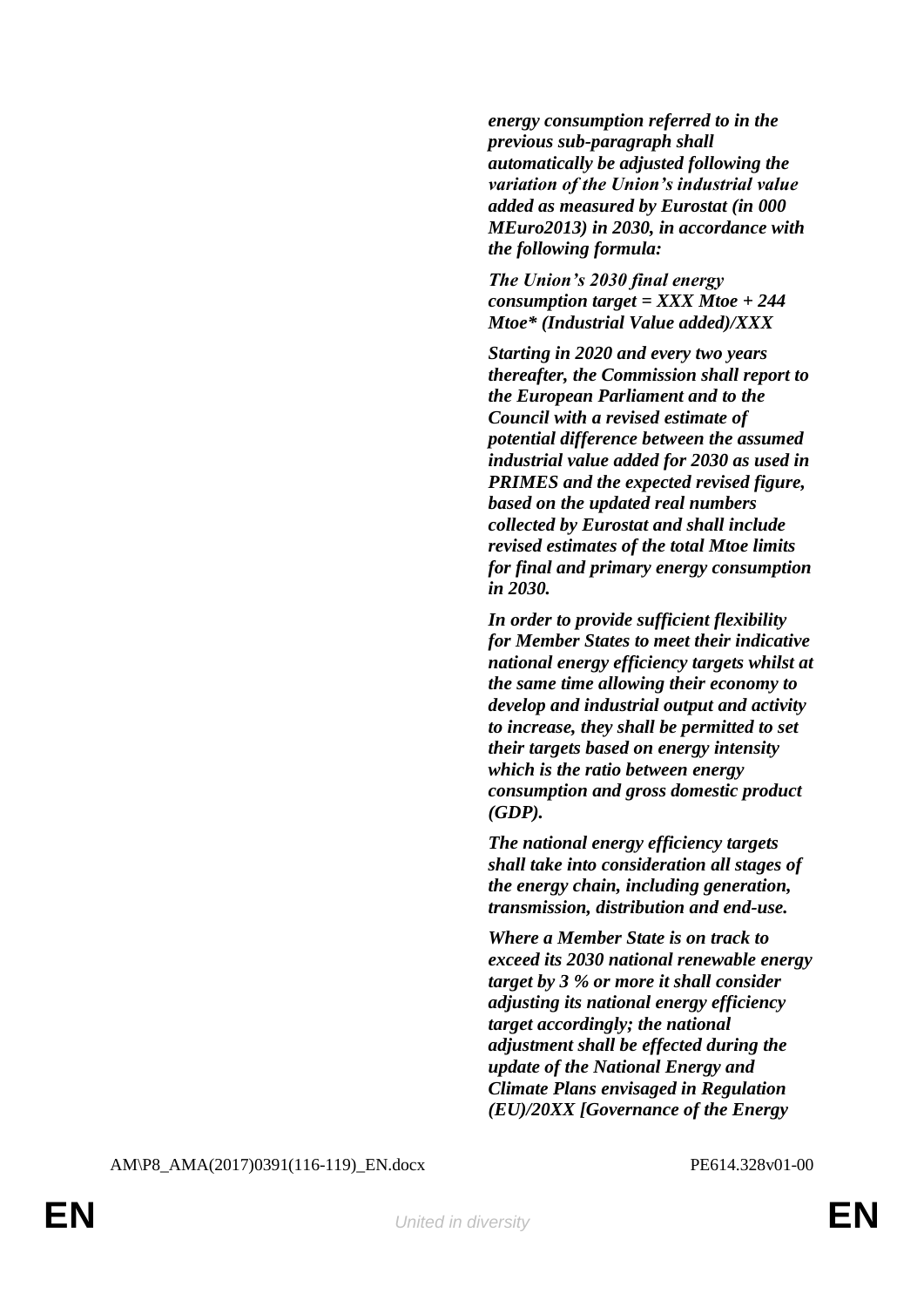*energy consumption referred to in the previous sub-paragraph shall automatically be adjusted following the variation of the Union's industrial value added as measured by Eurostat (in 000 MEuro2013) in 2030, in accordance with the following formula:*

*The Union's 2030 final energy consumption target = XXX Mtoe + 244 Mtoe\* (Industrial Value added)/XXX*

*Starting in 2020 and every two years thereafter, the Commission shall report to the European Parliament and to the Council with a revised estimate of potential difference between the assumed industrial value added for 2030 as used in PRIMES and the expected revised figure, based on the updated real numbers collected by Eurostat and shall include revised estimates of the total Mtoe limits for final and primary energy consumption in 2030.*

*In order to provide sufficient flexibility for Member States to meet their indicative national energy efficiency targets whilst at the same time allowing their economy to develop and industrial output and activity to increase, they shall be permitted to set their targets based on energy intensity which is the ratio between energy consumption and gross domestic product (GDP).*

*The national energy efficiency targets shall take into consideration all stages of the energy chain, including generation, transmission, distribution and end-use.*

*Where a Member State is on track to exceed its 2030 national renewable energy target by 3 % or more it shall consider adjusting its national energy efficiency target accordingly; the national adjustment shall be effected during the update of the National Energy and Climate Plans envisaged in Regulation (EU)/20XX [Governance of the Energy*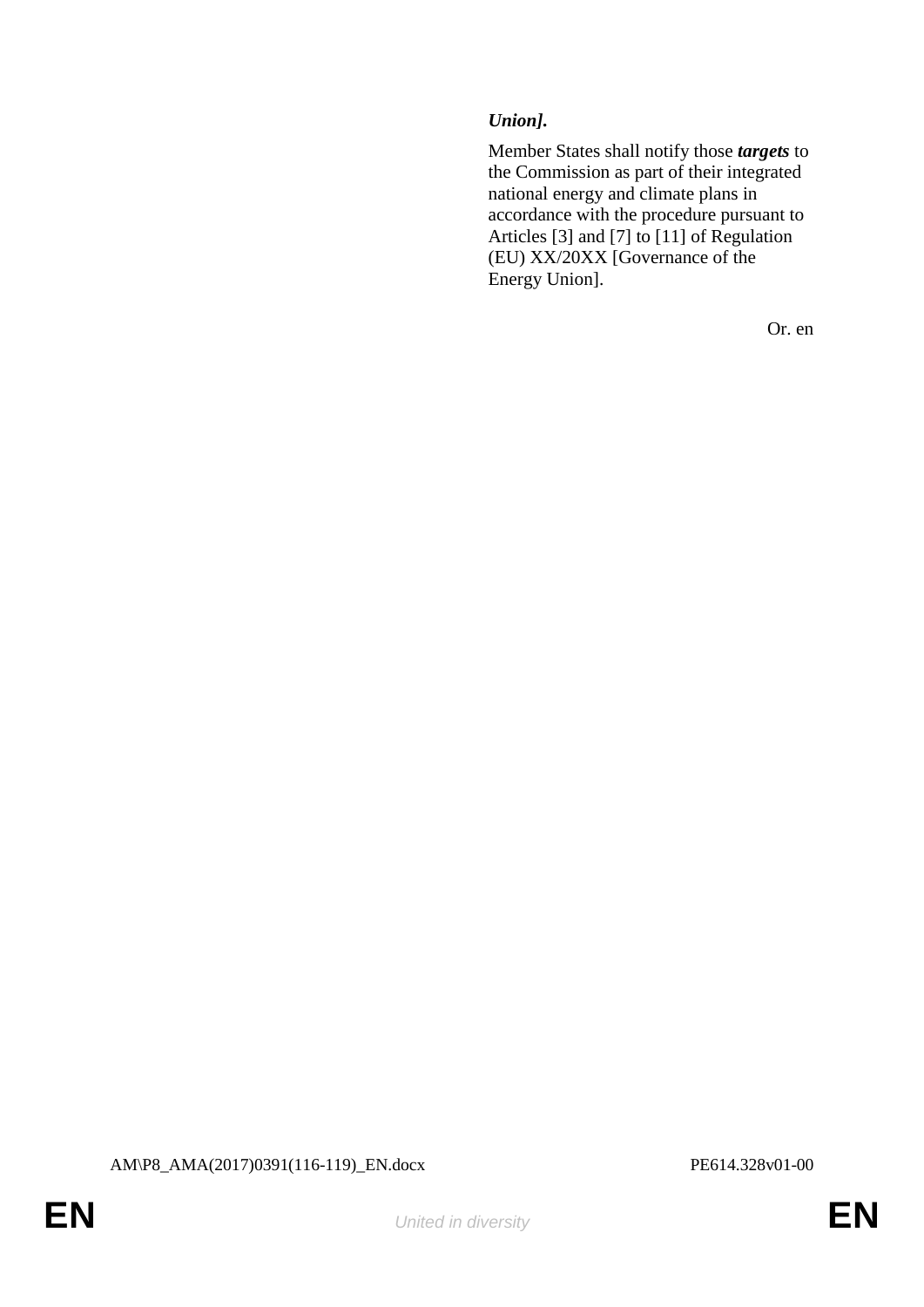# *Union].*

Member States shall notify those *targets* to the Commission as part of their integrated national energy and climate plans in accordance with the procedure pursuant to Articles [3] and [7] to [11] of Regulation (EU) XX/20XX [Governance of the Energy Union].

Or. en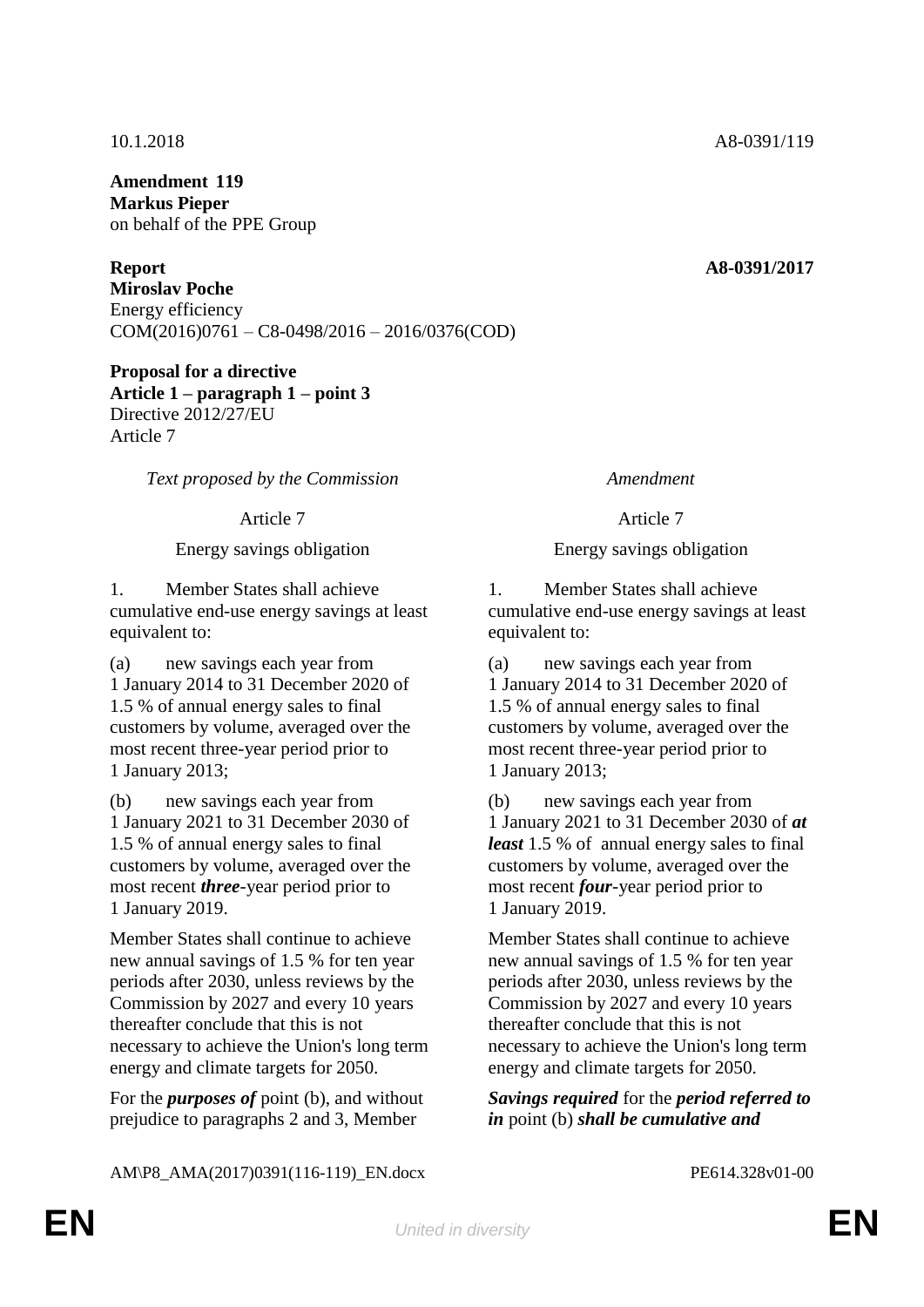**Amendment 119 Markus Pieper** on behalf of the PPE Group

**Report A8-0391/2017 Miroslav Poche** Energy efficiency COM(2016)0761 – C8-0498/2016 – 2016/0376(COD)

**Proposal for a directive Article 1 – paragraph 1 – point 3** Directive 2012/27/EU Article 7

*Text proposed by the Commission Amendment*

1. Member States shall achieve cumulative end-use energy savings at least equivalent to:

(a) new savings each year from 1 January 2014 to 31 December 2020 of 1.5 % of annual energy sales to final customers by volume, averaged over the most recent three-year period prior to 1 January 2013;

(b) new savings each year from 1 January 2021 to 31 December 2030 of 1.5 % of annual energy sales to final customers by volume, averaged over the most recent *three*-year period prior to 1 January 2019.

Member States shall continue to achieve new annual savings of 1.5 % for ten year periods after 2030, unless reviews by the Commission by 2027 and every 10 years thereafter conclude that this is not necessary to achieve the Union's long term energy and climate targets for 2050.

For the *purposes of* point (b), and without prejudice to paragraphs 2 and 3, Member

# Article 7 Article 7

# Energy savings obligation Energy savings obligation

1. Member States shall achieve cumulative end-use energy savings at least equivalent to:

(a) new savings each year from 1 January 2014 to 31 December 2020 of 1.5 % of annual energy sales to final customers by volume, averaged over the most recent three-year period prior to 1 January 2013;

(b) new savings each year from 1 January 2021 to 31 December 2030 of *at least* 1.5 % of annual energy sales to final customers by volume, averaged over the most recent *four*-year period prior to 1 January 2019.

Member States shall continue to achieve new annual savings of 1.5 % for ten year periods after 2030, unless reviews by the Commission by 2027 and every 10 years thereafter conclude that this is not necessary to achieve the Union's long term energy and climate targets for 2050.

*Savings required* for the *period referred to in* point (b) *shall be cumulative and*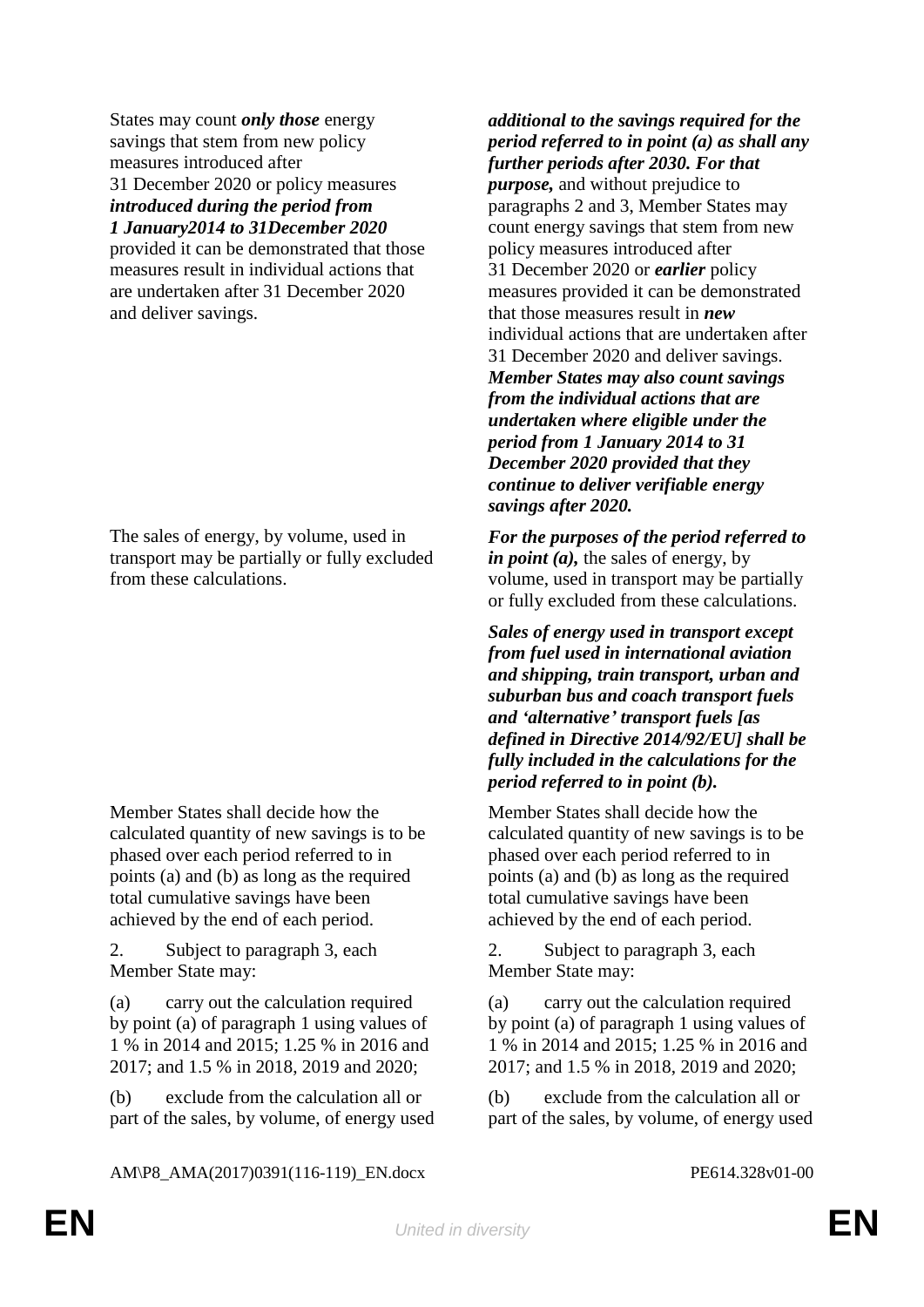States may count *only those* energy savings that stem from new policy measures introduced after 31 December 2020 or policy measures *introduced during the period from 1 January2014 to 31December 2020*

provided it can be demonstrated that those measures result in individual actions that are undertaken after 31 December 2020 and deliver savings.

The sales of energy, by volume, used in transport may be partially or fully excluded from these calculations.

Member States shall decide how the calculated quantity of new savings is to be phased over each period referred to in points (a) and (b) as long as the required total cumulative savings have been achieved by the end of each period.

2. Subject to paragraph 3, each Member State may:

(a) carry out the calculation required by point (a) of paragraph 1 using values of 1 % in 2014 and 2015; 1.25 % in 2016 and 2017; and 1.5 % in 2018, 2019 and 2020;

(b) exclude from the calculation all or part of the sales, by volume, of energy used

*additional to the savings required for the period referred to in point (a) as shall any further periods after 2030. For that purpose,* and without prejudice to

paragraphs 2 and 3, Member States may count energy savings that stem from new policy measures introduced after 31 December 2020 or *earlier* policy measures provided it can be demonstrated that those measures result in *new*  individual actions that are undertaken after 31 December 2020 and deliver savings. *Member States may also count savings from the individual actions that are undertaken where eligible under the period from 1 January 2014 to 31 December 2020 provided that they continue to deliver verifiable energy savings after 2020.*

*For the purposes of the period referred to in point (a),* the sales of energy, by volume, used in transport may be partially or fully excluded from these calculations.

*Sales of energy used in transport except from fuel used in international aviation and shipping, train transport, urban and suburban bus and coach transport fuels and 'alternative' transport fuels [as defined in Directive 2014/92/EU] shall be fully included in the calculations for the period referred to in point (b).*

Member States shall decide how the calculated quantity of new savings is to be phased over each period referred to in points (a) and (b) as long as the required total cumulative savings have been achieved by the end of each period.

2. Subject to paragraph 3, each Member State may:

(a) carry out the calculation required by point (a) of paragraph 1 using values of 1 % in 2014 and 2015; 1.25 % in 2016 and 2017; and 1.5 % in 2018, 2019 and 2020;

(b) exclude from the calculation all or part of the sales, by volume, of energy used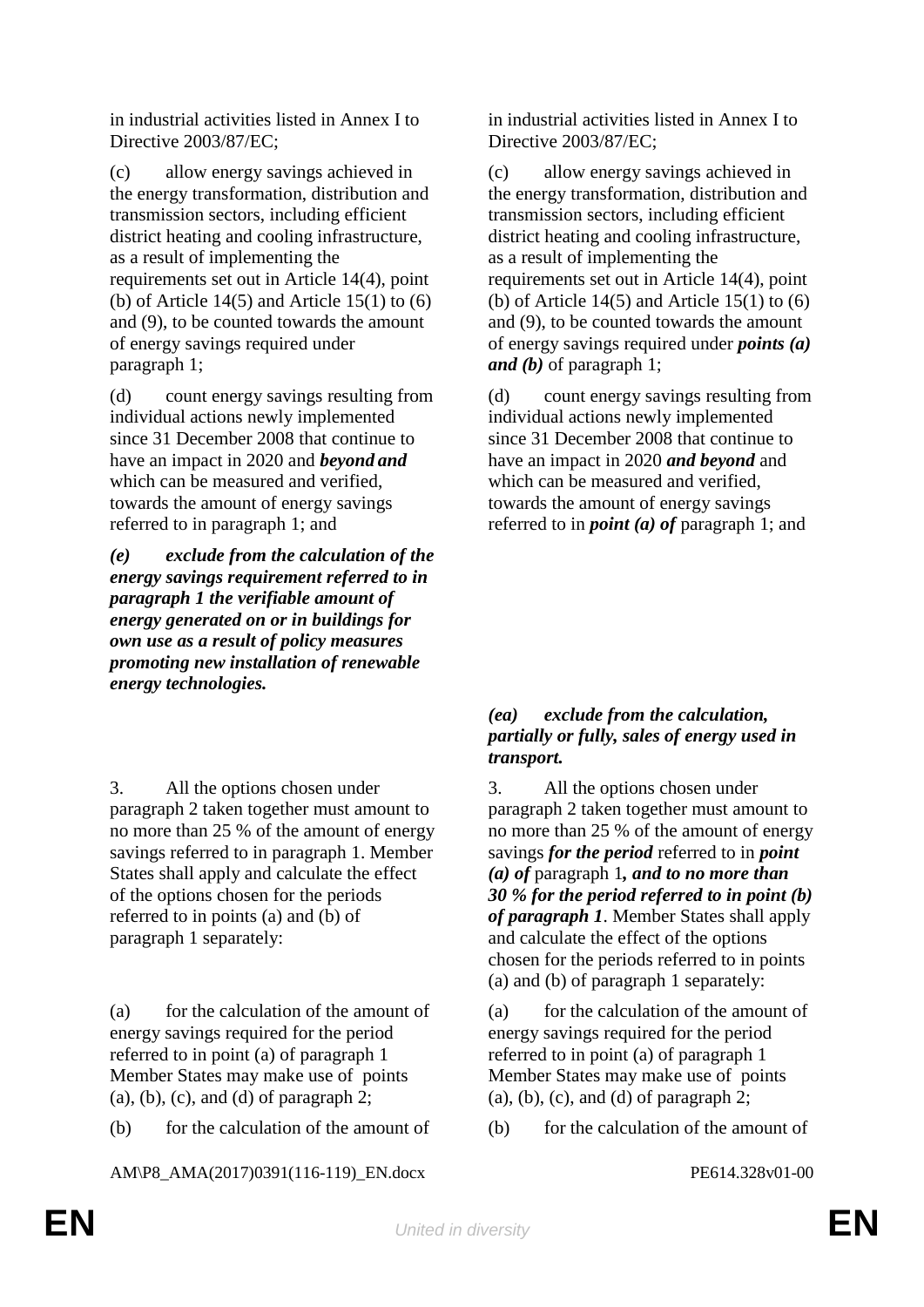in industrial activities listed in Annex I to Directive 2003/87/EC;

(c) allow energy savings achieved in the energy transformation, distribution and transmission sectors, including efficient district heating and cooling infrastructure, as a result of implementing the requirements set out in Article 14(4), point (b) of Article  $14(5)$  and Article  $15(1)$  to  $(6)$ and (9), to be counted towards the amount of energy savings required under paragraph 1;

(d) count energy savings resulting from individual actions newly implemented since 31 December 2008 that continue to have an impact in 2020 and *beyond and* which can be measured and verified, towards the amount of energy savings referred to in paragraph 1; and

*(e) exclude from the calculation of the energy savings requirement referred to in paragraph 1 the verifiable amount of energy generated on or in buildings for own use as a result of policy measures promoting new installation of renewable energy technologies.* 

3. All the options chosen under paragraph 2 taken together must amount to no more than 25 % of the amount of energy savings referred to in paragraph 1. Member States shall apply and calculate the effect of the options chosen for the periods referred to in points (a) and (b) of paragraph 1 separately:

(a) for the calculation of the amount of energy savings required for the period referred to in point (a) of paragraph 1 Member States may make use of points (a), (b), (c), and (d) of paragraph 2;

(b) for the calculation of the amount of (b) for the calculation of the amount of

AM\P8\_AMA(2017)0391(116-119)\_EN.docx PE614.328v01-00

in industrial activities listed in Annex I to Directive 2003/87/EC;

(c) allow energy savings achieved in the energy transformation, distribution and transmission sectors, including efficient district heating and cooling infrastructure, as a result of implementing the requirements set out in Article 14(4), point (b) of Article  $14(5)$  and Article  $15(1)$  to  $(6)$ and (9), to be counted towards the amount of energy savings required under *points (a) and (b)* of paragraph 1;

(d) count energy savings resulting from individual actions newly implemented since 31 December 2008 that continue to have an impact in 2020 *and beyond* and which can be measured and verified, towards the amount of energy savings referred to in *point (a) of* paragraph 1; and

# *(ea) exclude from the calculation, partially or fully, sales of energy used in transport.*

3. All the options chosen under paragraph 2 taken together must amount to no more than 25 % of the amount of energy savings *for the period* referred to in *point (a) of* paragraph 1*, and to no more than 30 % for the period referred to in point (b) of paragraph 1*. Member States shall apply and calculate the effect of the options chosen for the periods referred to in points (a) and (b) of paragraph 1 separately:

(a) for the calculation of the amount of energy savings required for the period referred to in point (a) of paragraph 1 Member States may make use of points (a), (b), (c), and (d) of paragraph 2;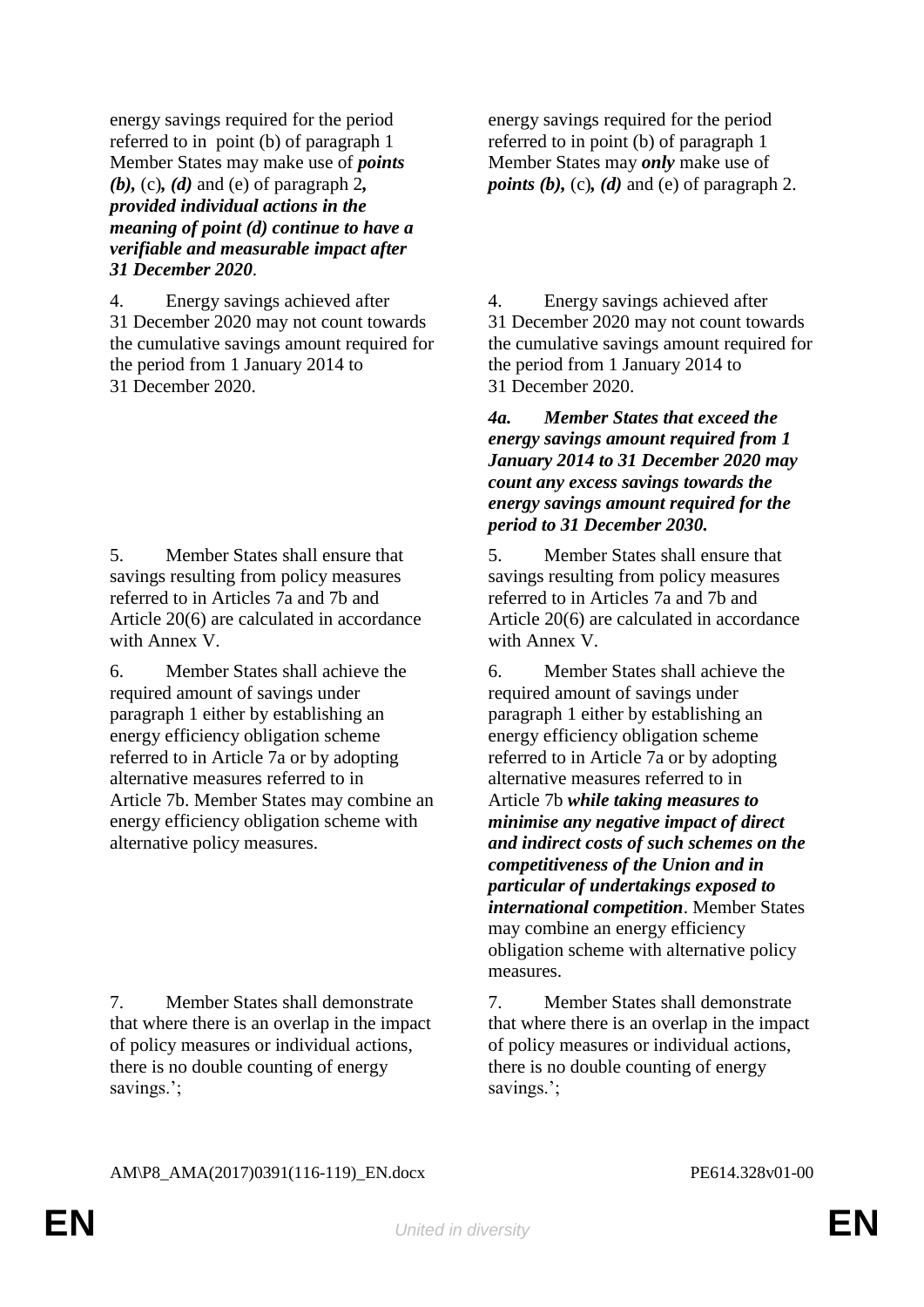energy savings required for the period referred to in point (b) of paragraph 1 Member States may make use of *points (b),* (c)*, (d)* and (e) of paragraph 2*, provided individual actions in the meaning of point (d) continue to have a verifiable and measurable impact after 31 December 2020*.

4. Energy savings achieved after 31 December 2020 may not count towards the cumulative savings amount required for the period from 1 January 2014 to 31 December 2020.

5. Member States shall ensure that savings resulting from policy measures referred to in Articles 7a and 7b and Article 20(6) are calculated in accordance with Annex V.

6. Member States shall achieve the required amount of savings under paragraph 1 either by establishing an energy efficiency obligation scheme referred to in Article 7a or by adopting alternative measures referred to in Article 7b. Member States may combine an energy efficiency obligation scheme with alternative policy measures.

7. Member States shall demonstrate that where there is an overlap in the impact of policy measures or individual actions, there is no double counting of energy savings.';

energy savings required for the period referred to in point (b) of paragraph 1 Member States may *only* make use of *points (b),* (c)*, (d)* and (e) of paragraph 2.

4. Energy savings achieved after 31 December 2020 may not count towards the cumulative savings amount required for the period from 1 January 2014 to 31 December 2020.

*4a. Member States that exceed the energy savings amount required from 1 January 2014 to 31 December 2020 may count any excess savings towards the energy savings amount required for the period to 31 December 2030.*

5. Member States shall ensure that savings resulting from policy measures referred to in Articles 7a and 7b and Article 20(6) are calculated in accordance with Annex V.

6. Member States shall achieve the required amount of savings under paragraph 1 either by establishing an energy efficiency obligation scheme referred to in Article 7a or by adopting alternative measures referred to in Article 7b *while taking measures to minimise any negative impact of direct and indirect costs of such schemes on the competitiveness of the Union and in particular of undertakings exposed to international competition*. Member States may combine an energy efficiency obligation scheme with alternative policy measures.

7. Member States shall demonstrate that where there is an overlap in the impact of policy measures or individual actions, there is no double counting of energy savings.';